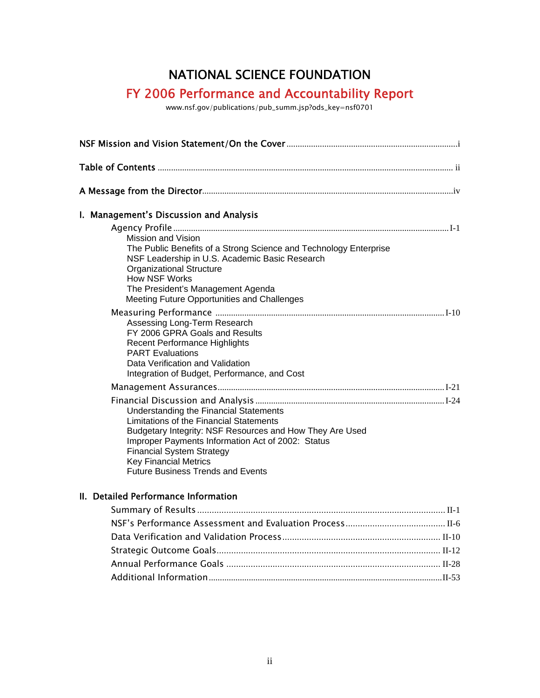## NATIONAL SCIENCE FOUNDATION

## FY 2006 Performance and Accountability Report

www.nsf.gov/publications/pub\_summ.jsp?ods\_key=nsf0701

| I. Management's Discussion and Analysis                                                                                                                                                                                                                                                                            |  |  |  |
|--------------------------------------------------------------------------------------------------------------------------------------------------------------------------------------------------------------------------------------------------------------------------------------------------------------------|--|--|--|
| Mission and Vision<br>The Public Benefits of a Strong Science and Technology Enterprise<br>NSF Leadership in U.S. Academic Basic Research<br><b>Organizational Structure</b><br><b>How NSF Works</b><br>The President's Management Agenda<br>Meeting Future Opportunities and Challenges                           |  |  |  |
| Assessing Long-Term Research<br>FY 2006 GPRA Goals and Results<br><b>Recent Performance Highlights</b><br><b>PART Evaluations</b><br>Data Verification and Validation<br>Integration of Budget, Performance, and Cost                                                                                              |  |  |  |
|                                                                                                                                                                                                                                                                                                                    |  |  |  |
| Understanding the Financial Statements<br>Limitations of the Financial Statements<br>Budgetary Integrity: NSF Resources and How They Are Used<br>Improper Payments Information Act of 2002: Status<br><b>Financial System Strategy</b><br><b>Key Financial Metrics</b><br><b>Future Business Trends and Events</b> |  |  |  |

## II. Detailed Performance Information